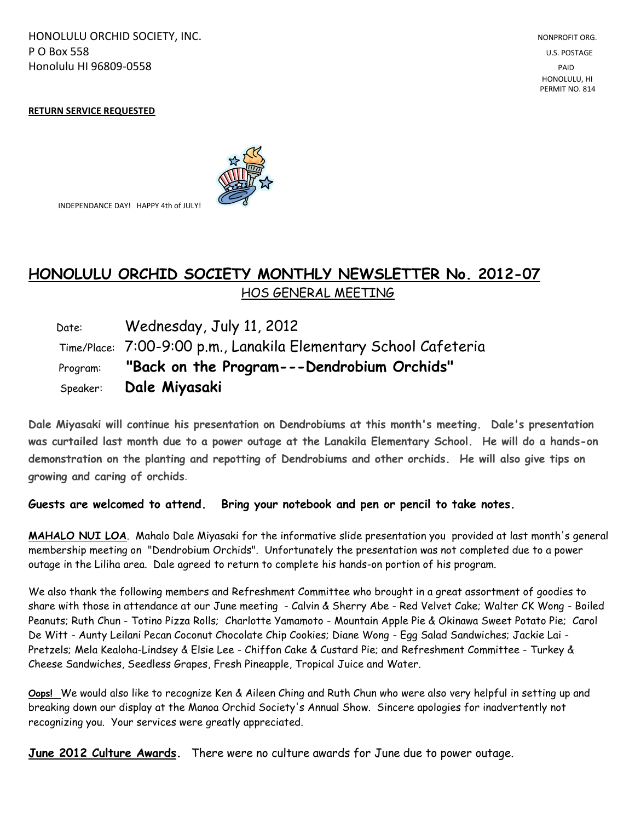HONOLULU ORCHID SOCIETY, INC. NONPROFIT ORG. NONPROFIT ORG. NONPROFIT ORG. **P O Box 558** U.S. POSTAGE Honolulu HI 96809-0558 PAID

#### **RETURN SERVICE REQUESTED**



INDEPENDANCE DAY! HAPPY 4th of JULY!

# **HONOLULU ORCHID SOCIETY MONTHLY NEWSLETTER No. 2012-07**  HOS GENERAL MEETING

 Date: Wednesday, July 11, 2012 Time/Place: 7:00-9:00 p.m., Lanakila Elementary School Cafeteria Program: **"Back on the Program---Dendrobium Orchids"** Speaker: **Dale Miyasaki**

**Dale Miyasaki will continue his presentation on Dendrobiums at this month's meeting. Dale's presentation was curtailed last month due to a power outage at the Lanakila Elementary School. He will do a hands-on demonstration on the planting and repotting of Dendrobiums and other orchids. He will also give tips on growing and caring of orchids**.

### **Guests are welcomed to attend. Bring your notebook and pen or pencil to take notes.**

**MAHALO NUI LOA**. Mahalo Dale Miyasaki for the informative slide presentation you provided at last month's general membership meeting on "Dendrobium Orchids". Unfortunately the presentation was not completed due to a power outage in the Liliha area. Dale agreed to return to complete his hands-on portion of his program.

We also thank the following members and Refreshment Committee who brought in a great assortment of goodies to share with those in attendance at our June meeting - Calvin & Sherry Abe - Red Velvet Cake; Walter CK Wong - Boiled Peanuts; Ruth Chun - Totino Pizza Rolls; Charlotte Yamamoto - Mountain Apple Pie & Okinawa Sweet Potato Pie; Carol De Witt - Aunty Leilani Pecan Coconut Chocolate Chip Cookies; Diane Wong - Egg Salad Sandwiches; Jackie Lai - Pretzels; Mela Kealoha-Lindsey & Elsie Lee - Chiffon Cake & Custard Pie; and Refreshment Committee - Turkey & Cheese Sandwiches, Seedless Grapes, Fresh Pineapple, Tropical Juice and Water.

**Oops!** We would also like to recognize Ken & Aileen Ching and Ruth Chun who were also very helpful in setting up and breaking down our display at the Manoa Orchid Society's Annual Show. Sincere apologies for inadvertently not recognizing you. Your services were greatly appreciated.

**June 2012 Culture Awards.** There were no culture awards for June due to power outage.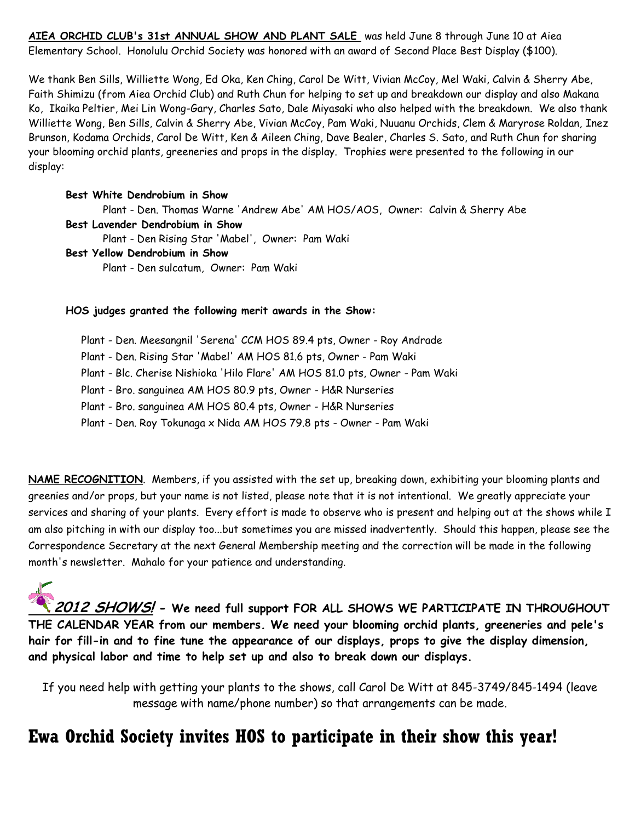**AIEA ORCHID CLUB's 31st ANNUAL SHOW AND PLANT SALE** was held June 8 through June 10 at Aiea Elementary School. Honolulu Orchid Society was honored with an award of Second Place Best Display (\$100).

We thank Ben Sills, Williette Wong, Ed Oka, Ken Ching, Carol De Witt, Vivian McCoy, Mel Waki, Calvin & Sherry Abe, Faith Shimizu (from Aiea Orchid Club) and Ruth Chun for helping to set up and breakdown our display and also Makana Ko, Ikaika Peltier, Mei Lin Wong-Gary, Charles Sato, Dale Miyasaki who also helped with the breakdown. We also thank Williette Wong, Ben Sills, Calvin & Sherry Abe, Vivian McCoy, Pam Waki, Nuuanu Orchids, Clem & Maryrose Roldan, Inez Brunson, Kodama Orchids, Carol De Witt, Ken & Aileen Ching, Dave Bealer, Charles S. Sato, and Ruth Chun for sharing your blooming orchid plants, greeneries and props in the display. Trophies were presented to the following in our display:

## **Best White Dendrobium in Show**

Plant - Den. Thomas Warne 'Andrew Abe' AM HOS/AOS, Owner: Calvin & Sherry Abe **Best Lavender Dendrobium in Show** Plant - Den Rising Star 'Mabel', Owner: Pam Waki **Best Yellow Dendrobium in Show** Plant - Den sulcatum, Owner: Pam Waki

### **HOS judges granted the following merit awards in the Show:**

 Plant - Den. Meesangnil 'Serena' CCM HOS 89.4 pts, Owner - Roy Andrade Plant - Den. Rising Star 'Mabel' AM HOS 81.6 pts, Owner - Pam Waki Plant - Blc. Cherise Nishioka 'Hilo Flare' AM HOS 81.0 pts, Owner - Pam Waki Plant - Bro. sanguinea AM HOS 80.9 pts, Owner - H&R Nurseries Plant - Bro. sanguinea AM HOS 80.4 pts, Owner - H&R Nurseries Plant - Den. Roy Tokunaga x Nida AM HOS 79.8 pts - Owner - Pam Waki

**NAME RECOGNITION**. Members, if you assisted with the set up, breaking down, exhibiting your blooming plants and greenies and/or props, but your name is not listed, please note that it is not intentional. We greatly appreciate your services and sharing of your plants. Every effort is made to observe who is present and helping out at the shows while I am also pitching in with our display too...but sometimes you are missed inadvertently. Should this happen, please see the Correspondence Secretary at the next General Membership meeting and the correction will be made in the following month's newsletter. Mahalo for your patience and understanding.

**2012 SHOWS! - We need full support FOR ALL SHOWS WE PARTICIPATE IN THROUGHOUT THE CALENDAR YEAR from our members. We need your blooming orchid plants, greeneries and pele's hair for fill-in and to fine tune the appearance of our displays, props to give the display dimension, and physical labor and time to help set up and also to break down our displays.**

If you need help with getting your plants to the shows, call Carol De Witt at 845-3749/845-1494 (leave message with name/phone number) so that arrangements can be made.

# **Ewa Orchid Society invites HOS to participate in their show this year!**